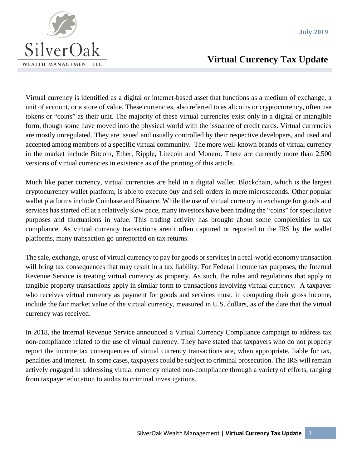

## **Virtual Currency Tax Update**

Virtual currency is identified as a digital or internet-based asset that functions as a medium of exchange, a unit of account, or a store of value. These currencies, also referred to as altcoins or cryptocurrency, often use tokens or "coins" as their unit. The majority of these virtual currencies exist only in a digital or intangible form, though some have moved into the physical world with the issuance of credit cards. Virtual currencies are mostly unregulated. They are issued and usually controlled by their respective developers, and used and accepted among members of a specific virtual community. The more well-known brands of virtual currency in the market include Bitcoin, Ether, Ripple, Litecoin and Monero. There are currently more than 2,500 versions of virtual currencies in existence as of the printing of this article.

Much like paper currency, virtual currencies are held in a digital wallet. Blockchain, which is the largest cryptocurrency wallet platform, is able to execute buy and sell orders in mere microseconds. Other popular wallet platforms include Coinbase and Binance. While the use of virtual currency in exchange for goods and services has started off at a relatively slow pace, many investors have been trading the "coins" for speculative purposes and fluctuations in value. This trading activity has brought about some complexities in tax compliance. As virtual currency transactions aren't often captured or reported to the IRS by the wallet platforms, many transaction go unreported on tax returns.

The sale, exchange, or use of virtual currency to pay for goods or services in a real-world economy transaction will bring tax consequences that may result in a tax liability. For Federal income tax purposes, the Internal Revenue Service is treating virtual currency as property. As such, the rules and regulations that apply to tangible property transactions apply in similar form to transactions involving virtual currency. A taxpayer who receives virtual currency as payment for goods and services must, in computing their gross income, include the fair market value of the virtual currency, measured in U.S. dollars, as of the date that the virtual currency was received.

In 2018, the Internal Revenue Service announced a Virtual Currency Compliance campaign to address tax non-compliance related to the use of virtual currency. They have stated that taxpayers who do not properly report the income tax consequences of virtual currency transactions are, when appropriate, liable for tax, penalties and interest. In some cases, taxpayers could be subject to criminal prosecution. The IRS will remain actively engaged in addressing virtual currency related non-compliance through a variety of efforts, ranging from taxpayer education to audits to criminal investigations.